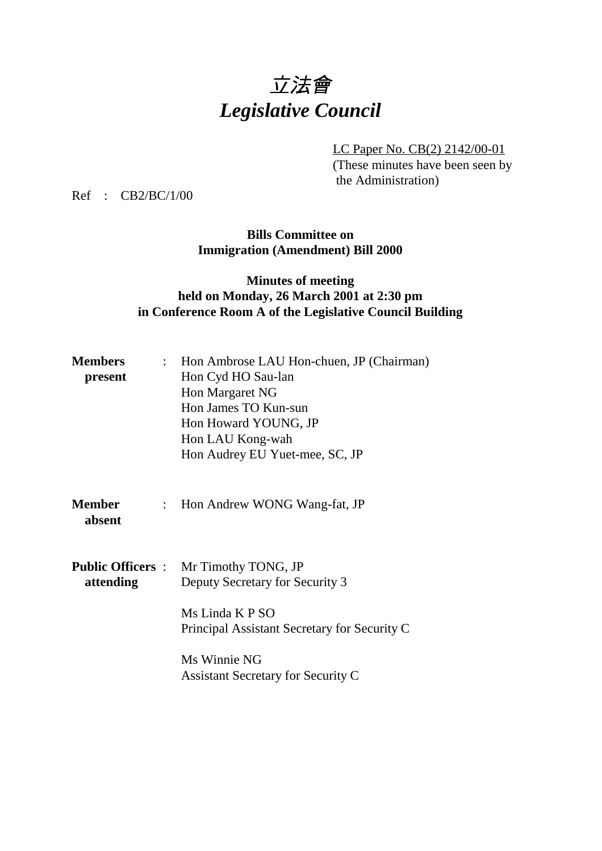# 立法會 *Legislative Council*

LC Paper No. CB(2) 2142/00-01 (These minutes have been seen by the Administration)

Ref : CB2/BC/1/00

**Bills Committee on Immigration (Amendment) Bill 2000**

#### **Minutes of meeting held on Monday, 26 March 2001 at 2:30 pm in Conference Room A of the Legislative Council Building**

| <b>Members</b>          | : Hon Ambrose LAU Hon-chuen, JP (Chairman)                      |
|-------------------------|-----------------------------------------------------------------|
| present                 | Hon Cyd HO Sau-lan                                              |
|                         | Hon Margaret NG                                                 |
|                         | Hon James TO Kun-sun                                            |
|                         | Hon Howard YOUNG, JP                                            |
|                         | Hon LAU Kong-wah                                                |
|                         | Hon Audrey EU Yuet-mee, SC, JP                                  |
|                         |                                                                 |
| <b>Member</b><br>absent | : Hon Andrew WONG Wang-fat, JP                                  |
|                         | <b>Public Officers : Mr Timothy TONG, JP</b>                    |
| attending               | Deputy Secretary for Security 3                                 |
|                         | Ms Linda K P SO<br>Principal Assistant Secretary for Security C |
|                         | Ms Winnie NG<br><b>Assistant Secretary for Security C</b>       |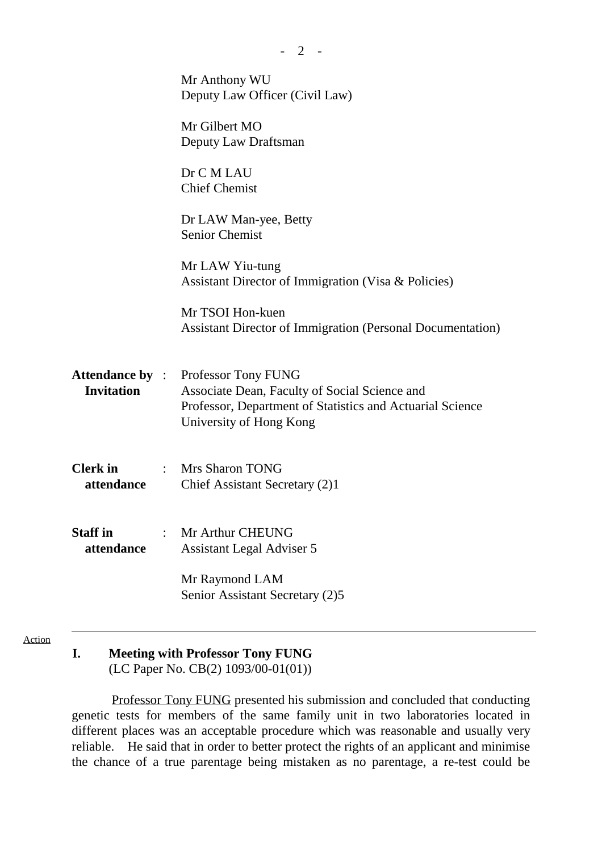|                               | Mr Anthony WU<br>Deputy Law Officer (Civil Law)                                                                                                                                     |
|-------------------------------|-------------------------------------------------------------------------------------------------------------------------------------------------------------------------------------|
|                               | Mr Gilbert MO<br>Deputy Law Draftsman                                                                                                                                               |
|                               | Dr C M LAU<br><b>Chief Chemist</b>                                                                                                                                                  |
|                               | Dr LAW Man-yee, Betty<br><b>Senior Chemist</b>                                                                                                                                      |
|                               | Mr LAW Yiu-tung<br>Assistant Director of Immigration (Visa & Policies)                                                                                                              |
|                               | Mr TSOI Hon-kuen<br><b>Assistant Director of Immigration (Personal Documentation)</b>                                                                                               |
| <b>Invitation</b>             | <b>Attendance by : Professor Tony FUNG</b><br>Associate Dean, Faculty of Social Science and<br>Professor, Department of Statistics and Actuarial Science<br>University of Hong Kong |
| Clerk in<br>attendance        | : Mrs Sharon TONG<br>Chief Assistant Secretary (2)1                                                                                                                                 |
| <b>Staff</b> in<br>attendance | Mr Arthur CHEUNG<br><b>Assistant Legal Adviser 5</b>                                                                                                                                |
|                               | Mr Raymond LAM<br>Senior Assistant Secretary (2)5                                                                                                                                   |

 $- 2 -$ 

Action

#### **I. Meeting with Professor Tony FUNG** (LC Paper No. CB(2) 1093/00-01(01))

 Professor Tony FUNG presented his submission and concluded that conducting genetic tests for members of the same family unit in two laboratories located in different places was an acceptable procedure which was reasonable and usually very reliable. He said that in order to better protect the rights of an applicant and minimise the chance of a true parentage being mistaken as no parentage, a re-test could be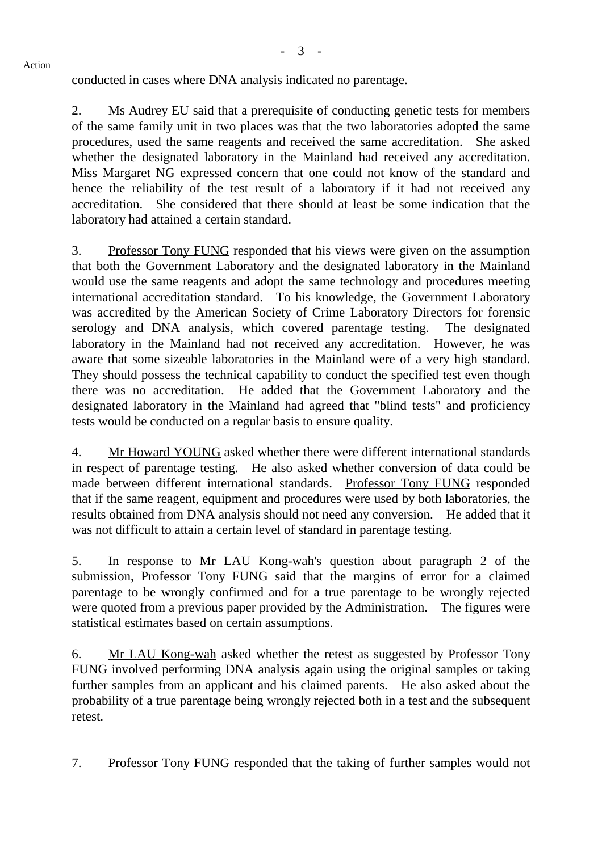conducted in cases where DNA analysis indicated no parentage.

Action

2. Ms Audrey EU said that a prerequisite of conducting genetic tests for members of the same family unit in two places was that the two laboratories adopted the same procedures, used the same reagents and received the same accreditation. She asked whether the designated laboratory in the Mainland had received any accreditation. Miss Margaret NG expressed concern that one could not know of the standard and hence the reliability of the test result of a laboratory if it had not received any accreditation. She considered that there should at least be some indication that the laboratory had attained a certain standard.

3. Professor Tony FUNG responded that his views were given on the assumption that both the Government Laboratory and the designated laboratory in the Mainland would use the same reagents and adopt the same technology and procedures meeting international accreditation standard. To his knowledge, the Government Laboratory was accredited by the American Society of Crime Laboratory Directors for forensic serology and DNA analysis, which covered parentage testing. The designated laboratory in the Mainland had not received any accreditation. However, he was aware that some sizeable laboratories in the Mainland were of a very high standard. They should possess the technical capability to conduct the specified test even though there was no accreditation. He added that the Government Laboratory and the designated laboratory in the Mainland had agreed that "blind tests" and proficiency tests would be conducted on a regular basis to ensure quality.

4. Mr Howard YOUNG asked whether there were different international standards in respect of parentage testing. He also asked whether conversion of data could be made between different international standards. Professor Tony FUNG responded that if the same reagent, equipment and procedures were used by both laboratories, the results obtained from DNA analysis should not need any conversion. He added that it was not difficult to attain a certain level of standard in parentage testing.

5. In response to Mr LAU Kong-wah's question about paragraph 2 of the submission, Professor Tony FUNG said that the margins of error for a claimed parentage to be wrongly confirmed and for a true parentage to be wrongly rejected were quoted from a previous paper provided by the Administration. The figures were statistical estimates based on certain assumptions.

6. Mr LAU Kong-wah asked whether the retest as suggested by Professor Tony FUNG involved performing DNA analysis again using the original samples or taking further samples from an applicant and his claimed parents. He also asked about the probability of a true parentage being wrongly rejected both in a test and the subsequent retest.

7. Professor Tony FUNG responded that the taking of further samples would not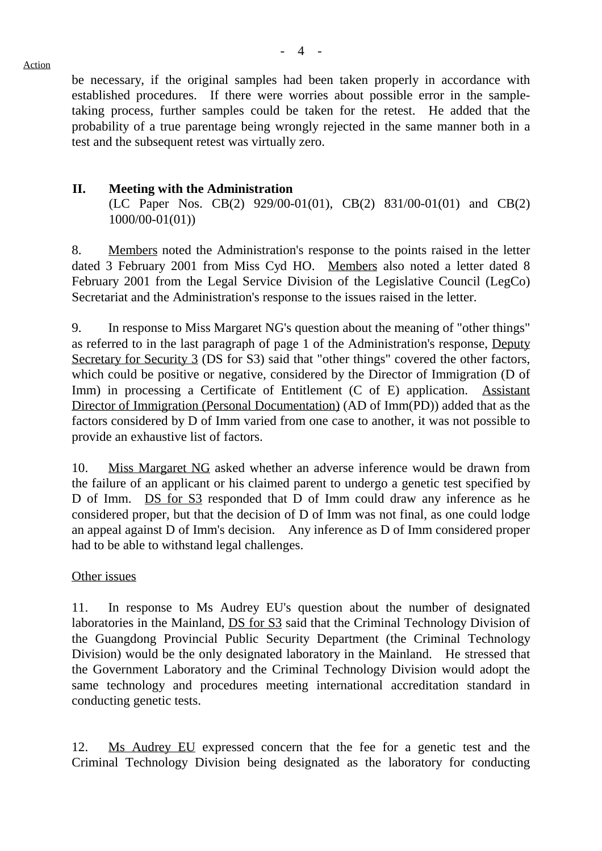be necessary, if the original samples had been taken properly in accordance with established procedures. If there were worries about possible error in the sampletaking process, further samples could be taken for the retest. He added that the probability of a true parentage being wrongly rejected in the same manner both in a test and the subsequent retest was virtually zero.

### **II. Meeting with the Administration**

(LC Paper Nos. CB(2) 929/00-01(01), CB(2) 831/00-01(01) and CB(2) 1000/00-01(01))

8. Members noted the Administration's response to the points raised in the letter dated 3 February 2001 from Miss Cyd HO. Members also noted a letter dated 8 February 2001 from the Legal Service Division of the Legislative Council (LegCo) Secretariat and the Administration's response to the issues raised in the letter.

9. In response to Miss Margaret NG's question about the meaning of "other things" as referred to in the last paragraph of page 1 of the Administration's response, Deputy Secretary for Security 3 (DS for S3) said that "other things" covered the other factors, which could be positive or negative, considered by the Director of Immigration (D of Imm) in processing a Certificate of Entitlement (C of E) application. Assistant Director of Immigration (Personal Documentation) (AD of Imm(PD)) added that as the factors considered by D of Imm varied from one case to another, it was not possible to provide an exhaustive list of factors.

10. Miss Margaret NG asked whether an adverse inference would be drawn from the failure of an applicant or his claimed parent to undergo a genetic test specified by D of Imm. DS for S3 responded that D of Imm could draw any inference as he considered proper, but that the decision of D of Imm was not final, as one could lodge an appeal against D of Imm's decision. Any inference as D of Imm considered proper had to be able to withstand legal challenges.

#### Other issues

11. In response to Ms Audrey EU's question about the number of designated laboratories in the Mainland, **DS** for S3 said that the Criminal Technology Division of the Guangdong Provincial Public Security Department (the Criminal Technology Division) would be the only designated laboratory in the Mainland. He stressed that the Government Laboratory and the Criminal Technology Division would adopt the same technology and procedures meeting international accreditation standard in conducting genetic tests.

12. Ms Audrey EU expressed concern that the fee for a genetic test and the Criminal Technology Division being designated as the laboratory for conducting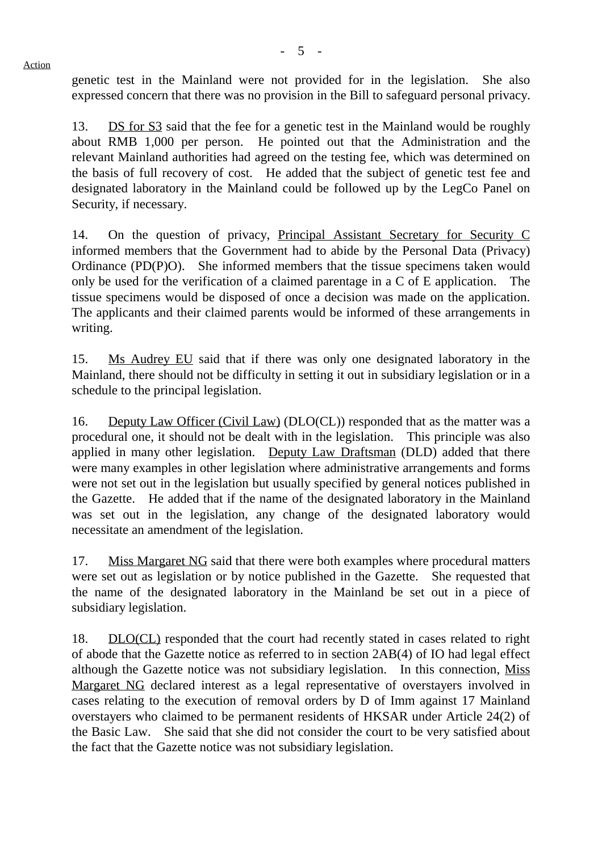- 5 -

genetic test in the Mainland were not provided for in the legislation. She also expressed concern that there was no provision in the Bill to safeguard personal privacy.

13. DS for S3 said that the fee for a genetic test in the Mainland would be roughly about RMB 1,000 per person. He pointed out that the Administration and the relevant Mainland authorities had agreed on the testing fee, which was determined on the basis of full recovery of cost. He added that the subject of genetic test fee and designated laboratory in the Mainland could be followed up by the LegCo Panel on Security, if necessary.

14. On the question of privacy, Principal Assistant Secretary for Security C informed members that the Government had to abide by the Personal Data (Privacy) Ordinance (PD(P)O). She informed members that the tissue specimens taken would only be used for the verification of a claimed parentage in a C of E application. The tissue specimens would be disposed of once a decision was made on the application. The applicants and their claimed parents would be informed of these arrangements in writing.

15. Ms Audrey EU said that if there was only one designated laboratory in the Mainland, there should not be difficulty in setting it out in subsidiary legislation or in a schedule to the principal legislation.

16. Deputy Law Officer (Civil Law) (DLO(CL)) responded that as the matter was a procedural one, it should not be dealt with in the legislation. This principle was also applied in many other legislation. Deputy Law Draftsman (DLD) added that there were many examples in other legislation where administrative arrangements and forms were not set out in the legislation but usually specified by general notices published in the Gazette. He added that if the name of the designated laboratory in the Mainland was set out in the legislation, any change of the designated laboratory would necessitate an amendment of the legislation.

17. Miss Margaret NG said that there were both examples where procedural matters were set out as legislation or by notice published in the Gazette. She requested that the name of the designated laboratory in the Mainland be set out in a piece of subsidiary legislation.

18. DLO(CL) responded that the court had recently stated in cases related to right of abode that the Gazette notice as referred to in section 2AB(4) of IO had legal effect although the Gazette notice was not subsidiary legislation. In this connection, Miss Margaret NG declared interest as a legal representative of overstayers involved in cases relating to the execution of removal orders by D of Imm against 17 Mainland overstayers who claimed to be permanent residents of HKSAR under Article 24(2) of the Basic Law. She said that she did not consider the court to be very satisfied about the fact that the Gazette notice was not subsidiary legislation.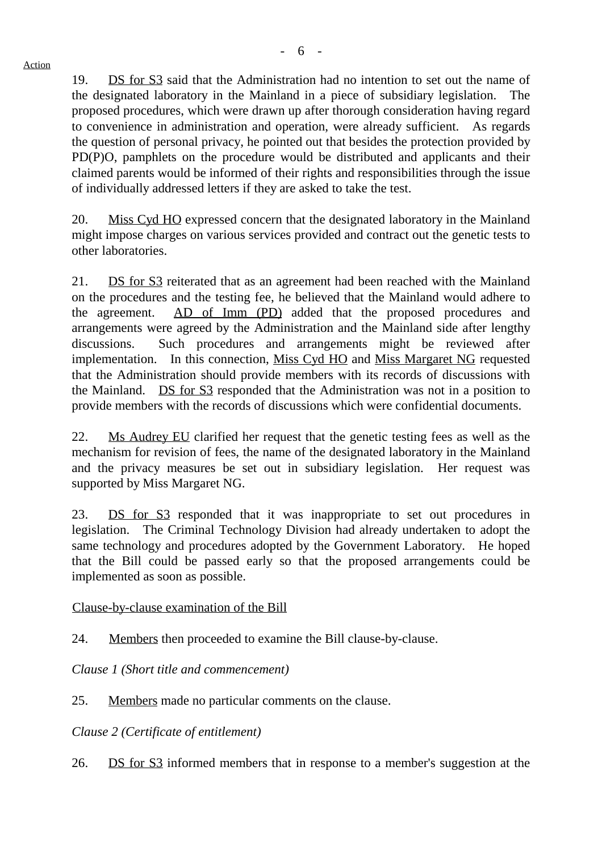19. DS for S3 said that the Administration had no intention to set out the name of the designated laboratory in the Mainland in a piece of subsidiary legislation. The proposed procedures, which were drawn up after thorough consideration having regard to convenience in administration and operation, were already sufficient. As regards the question of personal privacy, he pointed out that besides the protection provided by PD(P)O, pamphlets on the procedure would be distributed and applicants and their claimed parents would be informed of their rights and responsibilities through the issue of individually addressed letters if they are asked to take the test.

20. Miss Cyd HO expressed concern that the designated laboratory in the Mainland might impose charges on various services provided and contract out the genetic tests to other laboratories.

21. DS for S3 reiterated that as an agreement had been reached with the Mainland on the procedures and the testing fee, he believed that the Mainland would adhere to the agreement. AD of Imm (PD) added that the proposed procedures and arrangements were agreed by the Administration and the Mainland side after lengthy discussions. Such procedures and arrangements might be reviewed after implementation. In this connection, Miss Cyd HO and Miss Margaret NG requested that the Administration should provide members with its records of discussions with the Mainland. DS for S3 responded that the Administration was not in a position to provide members with the records of discussions which were confidential documents.

22. Ms Audrey EU clarified her request that the genetic testing fees as well as the mechanism for revision of fees, the name of the designated laboratory in the Mainland and the privacy measures be set out in subsidiary legislation. Her request was supported by Miss Margaret NG.

23. DS for S3 responded that it was inappropriate to set out procedures in legislation. The Criminal Technology Division had already undertaken to adopt the same technology and procedures adopted by the Government Laboratory. He hoped that the Bill could be passed early so that the proposed arrangements could be implemented as soon as possible.

Clause-by-clause examination of the Bill

24. Members then proceeded to examine the Bill clause-by-clause.

*Clause 1 (Short title and commencement)*

25. Members made no particular comments on the clause.

*Clause 2 (Certificate of entitlement)*

26. DS for S3 informed members that in response to a member's suggestion at the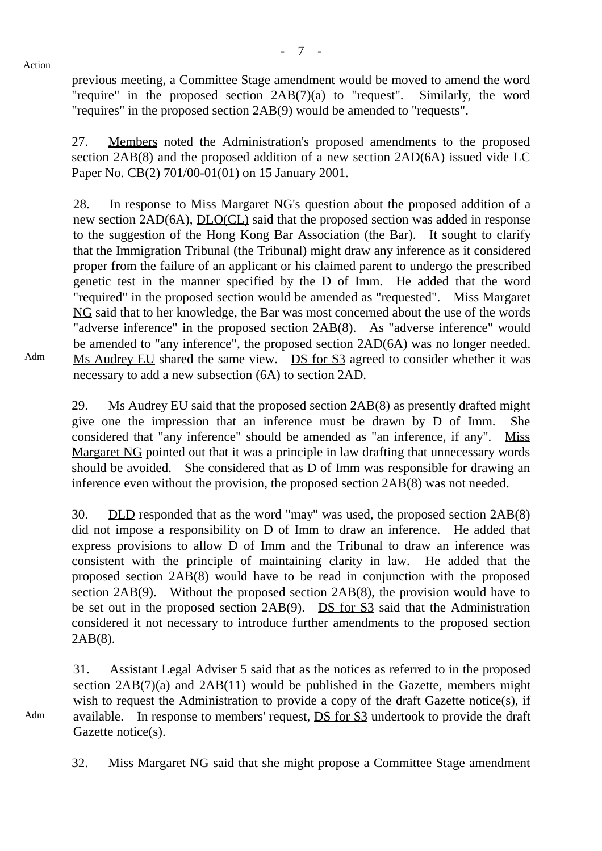Action

previous meeting, a Committee Stage amendment would be moved to amend the word "require" in the proposed section 2AB(7)(a) to "request". Similarly, the word "requires" in the proposed section 2AB(9) would be amended to "requests".

27. Members noted the Administration's proposed amendments to the proposed section 2AB(8) and the proposed addition of a new section 2AD(6A) issued vide LC Paper No. CB(2) 701/00-01(01) on 15 January 2001.

28. In response to Miss Margaret NG's question about the proposed addition of a new section 2AD(6A), DLO(CL) said that the proposed section was added in response to the suggestion of the Hong Kong Bar Association (the Bar). It sought to clarify that the Immigration Tribunal (the Tribunal) might draw any inference as it considered proper from the failure of an applicant or his claimed parent to undergo the prescribed genetic test in the manner specified by the D of Imm. He added that the word "required" in the proposed section would be amended as "requested". Miss Margaret NG said that to her knowledge, the Bar was most concerned about the use of the words "adverse inference" in the proposed section 2AB(8). As "adverse inference" would be amended to "any inference", the proposed section 2AD(6A) was no longer needed. Ms Audrey EU shared the same view. DS for S3 agreed to consider whether it was necessary to add a new subsection (6A) to section 2AD.

Adm

29. Ms Audrey EU said that the proposed section 2AB(8) as presently drafted might give one the impression that an inference must be drawn by D of Imm. She considered that "any inference" should be amended as "an inference, if any". Miss Margaret NG pointed out that it was a principle in law drafting that unnecessary words should be avoided. She considered that as D of Imm was responsible for drawing an inference even without the provision, the proposed section 2AB(8) was not needed.

30. DLD responded that as the word "may" was used, the proposed section 2AB(8) did not impose a responsibility on D of Imm to draw an inference. He added that express provisions to allow D of Imm and the Tribunal to draw an inference was consistent with the principle of maintaining clarity in law. He added that the proposed section 2AB(8) would have to be read in conjunction with the proposed section 2AB(9). Without the proposed section 2AB(8), the provision would have to be set out in the proposed section 2AB(9). DS for S3 said that the Administration considered it not necessary to introduce further amendments to the proposed section 2AB(8).

31. Assistant Legal Adviser 5 said that as the notices as referred to in the proposed section  $2AB(7)(a)$  and  $2AB(11)$  would be published in the Gazette, members might wish to request the Administration to provide a copy of the draft Gazette notice(s), if available. In response to members' request, DS for S3 undertook to provide the draft Gazette notice(s).

32. Miss Margaret NG said that she might propose a Committee Stage amendment

Adm